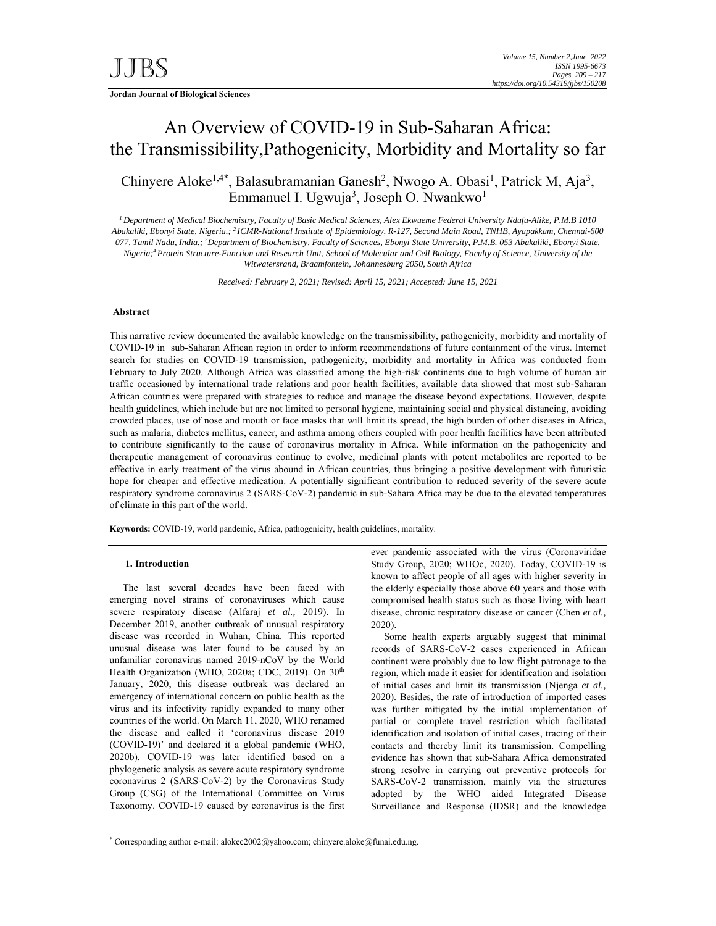**Jordan Journal of Biological Sciences** 

# An Overview of COVID-19 in Sub-Saharan Africa: the Transmissibility,Pathogenicity, Morbidity and Mortality so far

Chinyere Aloke<sup>1,4\*</sup>, Balasubramanian Ganesh<sup>2</sup>, Nwogo A. Obasi<sup>1</sup>, Patrick M, Aja<sup>3</sup>, Emmanuel I. Ugwuja<sup>3</sup>, Joseph O. Nwankwo<sup>1</sup>

*1 Department of Medical Biochemistry, Faculty of Basic Medical Sciences, Alex Ekwueme Federal University Ndufu-Alike, P.M.B 1010 Abakaliki, Ebonyi State, Nigeria.; 2 ICMR-National Institute of Epidemiology, R-127, Second Main Road, TNHB, Ayapakkam, Chennai-600 077, Tamil Nadu, India.; 3 Department of Biochemistry, Faculty of Sciences, Ebonyi State University, P.M.B. 053 Abakaliki, Ebonyi State,* 

*Nigeria;4 Protein Structure-Function and Research Unit, School of Molecular and Cell Biology, Faculty of Science, University of the Witwatersrand, Braamfontein, Johannesburg 2050, South Africa* 

*Received: February 2, 2021; Revised: April 15, 2021; Accepted: June 15, 2021* 

## **Abstract**

This narrative review documented the available knowledge on the transmissibility, pathogenicity, morbidity and mortality of COVID-19 in sub-Saharan African region in order to inform recommendations of future containment of the virus. Internet search for studies on COVID-19 transmission, pathogenicity, morbidity and mortality in Africa was conducted from February to July 2020. Although Africa was classified among the high-risk continents due to high volume of human air traffic occasioned by international trade relations and poor health facilities, available data showed that most sub-Saharan African countries were prepared with strategies to reduce and manage the disease beyond expectations. However, despite health guidelines, which include but are not limited to personal hygiene, maintaining social and physical distancing, avoiding crowded places, use of nose and mouth or face masks that will limit its spread, the high burden of other diseases in Africa, such as malaria, diabetes mellitus, cancer, and asthma among others coupled with poor health facilities have been attributed to contribute significantly to the cause of coronavirus mortality in Africa. While information on the pathogenicity and therapeutic management of coronavirus continue to evolve, medicinal plants with potent metabolites are reported to be effective in early treatment of the virus abound in African countries, thus bringing a positive development with futuristic hope for cheaper and effective medication. A potentially significant contribution to reduced severity of the severe acute respiratory syndrome coronavirus 2 (SARS-CoV-2) pandemic in sub-Sahara Africa may be due to the elevated temperatures of climate in this part of the world.

**Keywords:** COVID-19, world pandemic, Africa, pathogenicity, health guidelines, mortality.

## **1. Introduction**

-

The last several decades have been faced with emerging novel strains of coronaviruses which cause severe respiratory disease (Alfaraj *et al.,* 2019). In December 2019, another outbreak of unusual respiratory disease was recorded in Wuhan, China. This reported unusual disease was later found to be caused by an unfamiliar coronavirus named 2019-nCoV by the World Health Organization (WHO, 2020a; CDC, 2019). On 30<sup>th</sup> January, 2020, this disease outbreak was declared an emergency of international concern on public health as the virus and its infectivity rapidly expanded to many other countries of the world. On March 11, 2020, WHO renamed the disease and called it 'coronavirus disease 2019 (COVID-19)' and declared it a global pandemic (WHO, 2020b). COVID-19 was later identified based on a phylogenetic analysis as severe acute respiratory syndrome coronavirus 2 (SARS-CoV-2) by the Coronavirus Study Group (CSG) of the International Committee on Virus Taxonomy. COVID-19 caused by coronavirus is the first ever pandemic associated with the virus (Coronaviridae Study Group, 2020; WHOc, 2020). Today, COVID-19 is known to affect people of all ages with higher severity in the elderly especially those above 60 years and those with compromised health status such as those living with heart disease, chronic respiratory disease or cancer (Chen *et al.,* 2020).

Some health experts arguably suggest that minimal records of SARS-CoV-2 cases experienced in African continent were probably due to low flight patronage to the region, which made it easier for identification and isolation of initial cases and limit its transmission (Njenga *et al.,* 2020). Besides, the rate of introduction of imported cases was further mitigated by the initial implementation of partial or complete travel restriction which facilitated identification and isolation of initial cases, tracing of their contacts and thereby limit its transmission. Compelling evidence has shown that sub-Sahara Africa demonstrated strong resolve in carrying out preventive protocols for SARS-CoV-2 transmission, mainly via the structures adopted by the WHO aided Integrated Disease Surveillance and Response (IDSR) and the knowledge

<sup>\*</sup> Corresponding author e-mail: alokec2002@yahoo.com; chinyere.aloke@funai.edu.ng.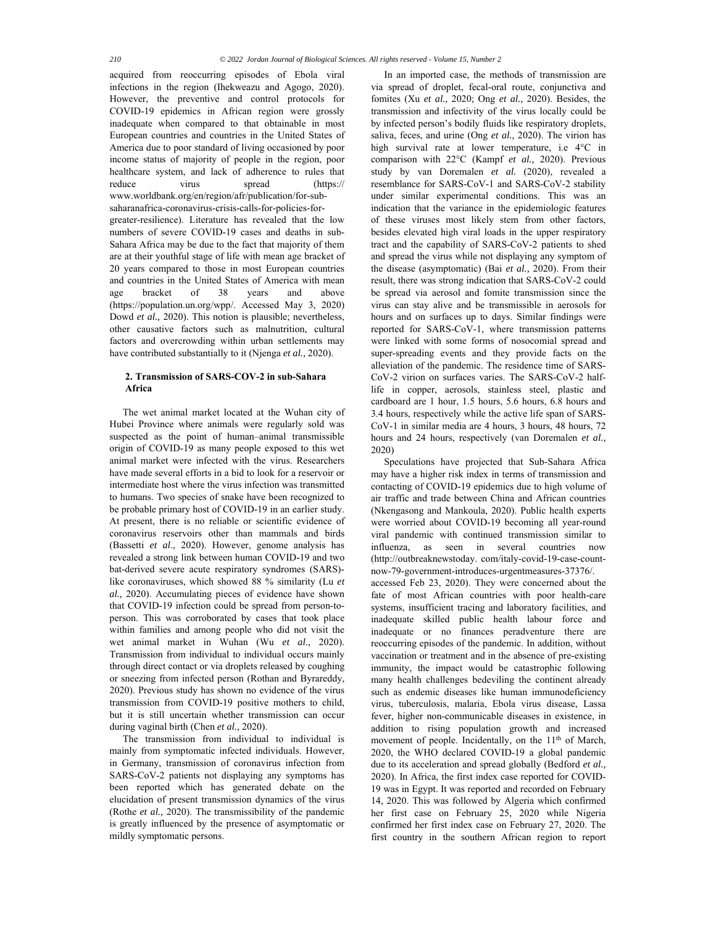acquired from reoccurring episodes of Ebola viral infections in the region (Ihekweazu and Agogo, 2020). However, the preventive and control protocols for COVID-19 epidemics in African region were grossly inadequate when compared to that obtainable in most European countries and countries in the United States of America due to poor standard of living occasioned by poor income status of majority of people in the region, poor healthcare system, and lack of adherence to rules that reduce virus spread (https:// www.worldbank.org/en/region/afr/publication/for-subsaharanafrica-coronavirus-crisis-calls-for-policies-forgreater-resilience). Literature has revealed that the low numbers of severe COVID-19 cases and deaths in sub-Sahara Africa may be due to the fact that majority of them are at their youthful stage of life with mean age bracket of 20 years compared to those in most European countries and countries in the United States of America with mean age bracket of 38 years and above (https://population.un.org/wpp/. Accessed May 3, 2020) Dowd *et al.,* 2020). This notion is plausible; nevertheless, other causative factors such as malnutrition, cultural factors and overcrowding within urban settlements may have contributed substantially to it (Njenga *et al.,* 2020).

## **2. Transmission of SARS-COV-2 in sub-Sahara Africa**

The wet animal market located at the Wuhan city of Hubei Province where animals were regularly sold was suspected as the point of human–animal transmissible origin of COVID-19 as many people exposed to this wet animal market were infected with the virus. Researchers have made several efforts in a bid to look for a reservoir or intermediate host where the virus infection was transmitted to humans. Two species of snake have been recognized to be probable primary host of COVID-19 in an earlier study. At present, there is no reliable or scientific evidence of coronavirus reservoirs other than mammals and birds (Bassetti *et al*., 2020). However, genome analysis has revealed a strong link between human COVID-19 and two bat-derived severe acute respiratory syndromes (SARS) like coronaviruses, which showed 88 % similarity (Lu *et al.,* 2020). Accumulating pieces of evidence have shown that COVID-19 infection could be spread from person-toperson. This was corroborated by cases that took place within families and among people who did not visit the wet animal market in Wuhan (Wu *et al.,* 2020). Transmission from individual to individual occurs mainly through direct contact or via droplets released by coughing or sneezing from infected person (Rothan and Byrareddy, 2020). Previous study has shown no evidence of the virus transmission from COVID-19 positive mothers to child, but it is still uncertain whether transmission can occur during vaginal birth (Chen *et al.,* 2020).

The transmission from individual to individual is mainly from symptomatic infected individuals. However, in Germany, transmission of coronavirus infection from SARS-CoV-2 patients not displaying any symptoms has been reported which has generated debate on the elucidation of present transmission dynamics of the virus (Rothe *et al.,* 2020). The transmissibility of the pandemic is greatly influenced by the presence of asymptomatic or mildly symptomatic persons.

In an imported case, the methods of transmission are via spread of droplet, fecal-oral route, conjunctiva and fomites (Xu *et al.,* 2020; Ong *et al.,* 2020). Besides, the transmission and infectivity of the virus locally could be by infected person's bodily fluids like respiratory droplets, saliva, feces, and urine (Ong *et al.,* 2020). The virion has high survival rate at lower temperature, i.e 4°C in comparison with 22°C (Kampf *et al.,* 2020). Previous study by van Doremalen *et al.* (2020), revealed a resemblance for SARS-CoV-1 and SARS-CoV-2 stability under similar experimental conditions. This was an indication that the variance in the epidemiologic features of these viruses most likely stem from other factors, besides elevated high viral loads in the upper respiratory tract and the capability of SARS-CoV-2 patients to shed and spread the virus while not displaying any symptom of the disease (asymptomatic) (Bai *et al.,* 2020). From their result, there was strong indication that SARS-CoV-2 could be spread via aerosol and fomite transmission since the virus can stay alive and be transmissible in aerosols for hours and on surfaces up to days. Similar findings were reported for SARS-CoV-1, where transmission patterns were linked with some forms of nosocomial spread and super-spreading events and they provide facts on the alleviation of the pandemic. The residence time of SARS-CoV-2 virion on surfaces varies. The SARS-CoV-2 halflife in copper, aerosols, stainless steel, plastic and cardboard are 1 hour, 1.5 hours, 5.6 hours, 6.8 hours and 3.4 hours, respectively while the active life span of SARS-CoV-1 in similar media are 4 hours, 3 hours, 48 hours, 72 hours and 24 hours, respectively (van Doremalen *et al.,* 2020)

Speculations have projected that Sub-Sahara Africa may have a higher risk index in terms of transmission and contacting of COVID-19 epidemics due to high volume of air traffic and trade between China and African countries (Nkengasong and Mankoula, 2020). Public health experts were worried about COVID-19 becoming all year-round viral pandemic with continued transmission similar to influenza, as seen in several countries now (http://outbreaknewstoday. com/italy-covid-19-case-countnow-79-government-introduces-urgentmeasures-37376/. accessed Feb 23, 2020). They were concerned about the fate of most African countries with poor health-care systems, insufficient tracing and laboratory facilities, and inadequate skilled public health labour force and inadequate or no finances peradventure there are reoccurring episodes of the pandemic. In addition, without vaccination or treatment and in the absence of pre-existing immunity, the impact would be catastrophic following many health challenges bedeviling the continent already such as endemic diseases like human immunodeficiency virus, tuberculosis, malaria, Ebola virus disease, Lassa fever, higher non-communicable diseases in existence, in addition to rising population growth and increased movement of people. Incidentally, on the 11<sup>th</sup> of March, 2020, the WHO declared COVID-19 a global pandemic due to its acceleration and spread globally (Bedford *et al.,* 2020). In Africa, the first index case reported for COVID-19 was in Egypt. It was reported and recorded on February 14, 2020. This was followed by Algeria which confirmed her first case on February 25, 2020 while Nigeria confirmed her first index case on February 27, 2020. The first country in the southern African region to report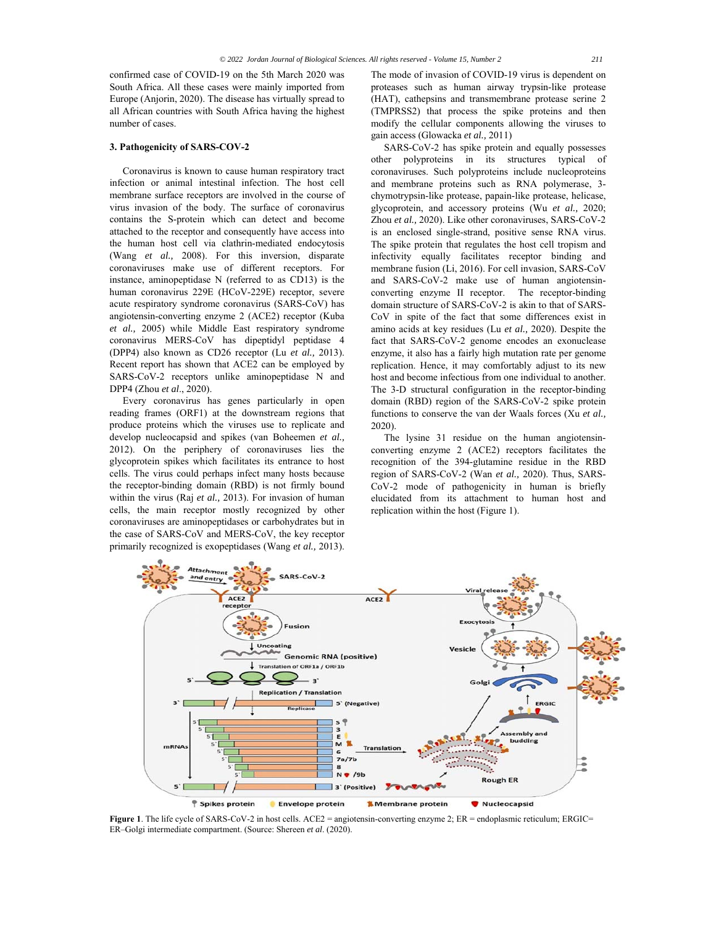confirmed case of COVID-19 on the 5th March 2020 was South Africa. All these cases were mainly imported from Europe (Anjorin, 2020). The disease has virtually spread to all African countries with South Africa having the highest number of cases.

## **3. Pathogenicity of SARS-COV-2**

Coronavirus is known to cause human respiratory tract infection or animal intestinal infection. The host cell membrane surface receptors are involved in the course of virus invasion of the body. The surface of coronavirus contains the S-protein which can detect and become attached to the receptor and consequently have access into the human host cell via clathrin-mediated endocytosis (Wang *et al.,* 2008). For this inversion, disparate coronaviruses make use of different receptors. For instance, aminopeptidase N (referred to as CD13) is the human coronavirus 229E (HCoV-229E) receptor, severe acute respiratory syndrome coronavirus (SARS-CoV) has angiotensin-converting enzyme 2 (ACE2) receptor (Kuba *et al.,* 2005) while Middle East respiratory syndrome coronavirus MERS-CoV has dipeptidyl peptidase 4 (DPP4) also known as CD26 receptor (Lu *et al.,* 2013). Recent report has shown that ACE2 can be employed by SARS-CoV-2 receptors unlike aminopeptidase N and DPP4 (Zhou *et al*., 2020).

Every coronavirus has genes particularly in open reading frames (ORF1) at the downstream regions that produce proteins which the viruses use to replicate and develop nucleocapsid and spikes (van Boheemen *et al.,* 2012). On the periphery of coronaviruses lies the glycoprotein spikes which facilitates its entrance to host cells. The virus could perhaps infect many hosts because the receptor-binding domain (RBD) is not firmly bound within the virus (Raj *et al.,* 2013). For invasion of human cells, the main receptor mostly recognized by other coronaviruses are aminopeptidases or carbohydrates but in the case of SARS-CoV and MERS-CoV, the key receptor primarily recognized is exopeptidases (Wang *et al.,* 2013).

The mode of invasion of COVID-19 virus is dependent on proteases such as human airway trypsin-like protease (HAT), cathepsins and transmembrane protease serine 2 (TMPRSS2) that process the spike proteins and then modify the cellular components allowing the viruses to gain access (Glowacka *et al.,* 2011)

SARS-CoV-2 has spike protein and equally possesses other polyproteins in its structures typical of coronaviruses. Such polyproteins include nucleoproteins and membrane proteins such as RNA polymerase, 3 chymotrypsin-like protease, papain-like protease, helicase, glycoprotein, and accessory proteins (Wu *et al.,* 2020; Zhou *et al.,* 2020). Like other coronaviruses, SARS-CoV-2 is an enclosed single-strand, positive sense RNA virus. The spike protein that regulates the host cell tropism and infectivity equally facilitates receptor binding and membrane fusion (Li, 2016). For cell invasion, SARS-CoV and SARS-CoV-2 make use of human angiotensinconverting enzyme II receptor. The receptor-binding domain structure of SARS-CoV-2 is akin to that of SARS-CoV in spite of the fact that some differences exist in amino acids at key residues (Lu *et al.,* 2020). Despite the fact that SARS-CoV-2 genome encodes an exonuclease enzyme, it also has a fairly high mutation rate per genome replication. Hence, it may comfortably adjust to its new host and become infectious from one individual to another. The 3-D structural configuration in the receptor-binding domain (RBD) region of the SARS-CoV-2 spike protein functions to conserve the van der Waals forces (Xu *et al.,* 2020).

The lysine 31 residue on the human angiotensinconverting enzyme 2 (ACE2) receptors facilitates the recognition of the 394-glutamine residue in the RBD region of SARS-CoV-2 (Wan *et al.,* 2020). Thus, SARS-CoV-2 mode of pathogenicity in human is briefly elucidated from its attachment to human host and replication within the host (Figure 1).



**Figure 1**. The life cycle of SARS-CoV-2 in host cells. ACE2 = angiotensin-converting enzyme 2; ER = endoplasmic reticulum; ERGIC= ER–Golgi intermediate compartment. (Source: Shereen *et al*. (2020).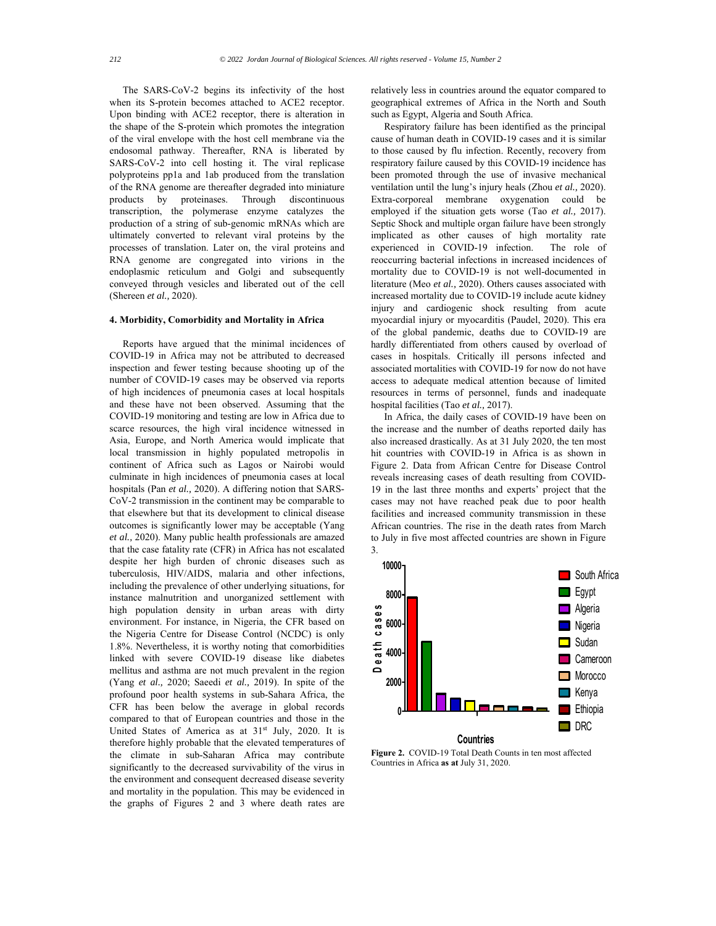The SARS-CoV-2 begins its infectivity of the host when its S-protein becomes attached to ACE2 receptor. Upon binding with ACE2 receptor, there is alteration in the shape of the S-protein which promotes the integration of the viral envelope with the host cell membrane via the endosomal pathway. Thereafter, RNA is liberated by SARS-CoV-2 into cell hosting it. The viral replicase polyproteins pp1a and 1ab produced from the translation of the RNA genome are thereafter degraded into miniature products by proteinases. Through discontinuous transcription, the polymerase enzyme catalyzes the production of a string of sub-genomic mRNAs which are ultimately converted to relevant viral proteins by the processes of translation. Later on, the viral proteins and RNA genome are congregated into virions in the endoplasmic reticulum and Golgi and subsequently conveyed through vesicles and liberated out of the cell (Shereen *et al.,* 2020).

## **4. Morbidity, Comorbidity and Mortality in Africa**

Reports have argued that the minimal incidences of COVID-19 in Africa may not be attributed to decreased inspection and fewer testing because shooting up of the number of COVID-19 cases may be observed via reports of high incidences of pneumonia cases at local hospitals and these have not been observed. Assuming that the COVID-19 monitoring and testing are low in Africa due to scarce resources, the high viral incidence witnessed in Asia, Europe, and North America would implicate that local transmission in highly populated metropolis in continent of Africa such as Lagos or Nairobi would culminate in high incidences of pneumonia cases at local hospitals (Pan *et al.,* 2020). A differing notion that SARS-CoV-2 transmission in the continent may be comparable to that elsewhere but that its development to clinical disease outcomes is significantly lower may be acceptable (Yang *et al.,* 2020). Many public health professionals are amazed that the case fatality rate (CFR) in Africa has not escalated despite her high burden of chronic diseases such as tuberculosis, HIV/AIDS, malaria and other infections, including the prevalence of other underlying situations, for instance malnutrition and unorganized settlement with high population density in urban areas with dirty environment. For instance, in Nigeria, the CFR based on the Nigeria Centre for Disease Control (NCDC) is only 1.8%. Nevertheless, it is worthy noting that comorbidities linked with severe COVID-19 disease like diabetes mellitus and asthma are not much prevalent in the region (Yang *et al.,* 2020; Saeedi *et al.,* 2019). In spite of the profound poor health systems in sub-Sahara Africa, the CFR has been below the average in global records compared to that of European countries and those in the United States of America as at  $31<sup>st</sup>$  July, 2020. It is therefore highly probable that the elevated temperatures of the climate in sub-Saharan Africa may contribute significantly to the decreased survivability of the virus in the environment and consequent decreased disease severity and mortality in the population. This may be evidenced in the graphs of Figures 2 and 3 where death rates are

relatively less in countries around the equator compared to geographical extremes of Africa in the North and South such as Egypt, Algeria and South Africa.

Respiratory failure has been identified as the principal cause of human death in COVID-19 cases and it is similar to those caused by flu infection. Recently, recovery from respiratory failure caused by this COVID-19 incidence has been promoted through the use of invasive mechanical ventilation until the lung's injury heals (Zhou *et al.,* 2020). Extra-corporeal membrane oxygenation could be employed if the situation gets worse (Tao *et al.,* 2017). Septic Shock and multiple organ failure have been strongly implicated as other causes of high mortality rate experienced in COVID-19 infection. The role of reoccurring bacterial infections in increased incidences of mortality due to COVID-19 is not well-documented in literature (Meo *et al.,* 2020). Others causes associated with increased mortality due to COVID-19 include acute kidney injury and cardiogenic shock resulting from acute myocardial injury or myocarditis (Paudel, 2020). This era of the global pandemic, deaths due to COVID-19 are hardly differentiated from others caused by overload of cases in hospitals. Critically ill persons infected and associated mortalities with COVID-19 for now do not have access to adequate medical attention because of limited resources in terms of personnel, funds and inadequate hospital facilities (Tao *et al.,* 2017).

In Africa, the daily cases of COVID-19 have been on the increase and the number of deaths reported daily has also increased drastically. As at 31 July 2020, the ten most hit countries with COVID-19 in Africa is as shown in Figure 2. Data from African Centre for Disease Control reveals increasing cases of death resulting from COVID-19 in the last three months and experts' project that the cases may not have reached peak due to poor health facilities and increased community transmission in these African countries. The rise in the death rates from March to July in five most affected countries are shown in Figure 3.



**Figure 2.** COVID-19 Total Death Counts in ten most affected Countries in Africa **as at** July 31, 2020.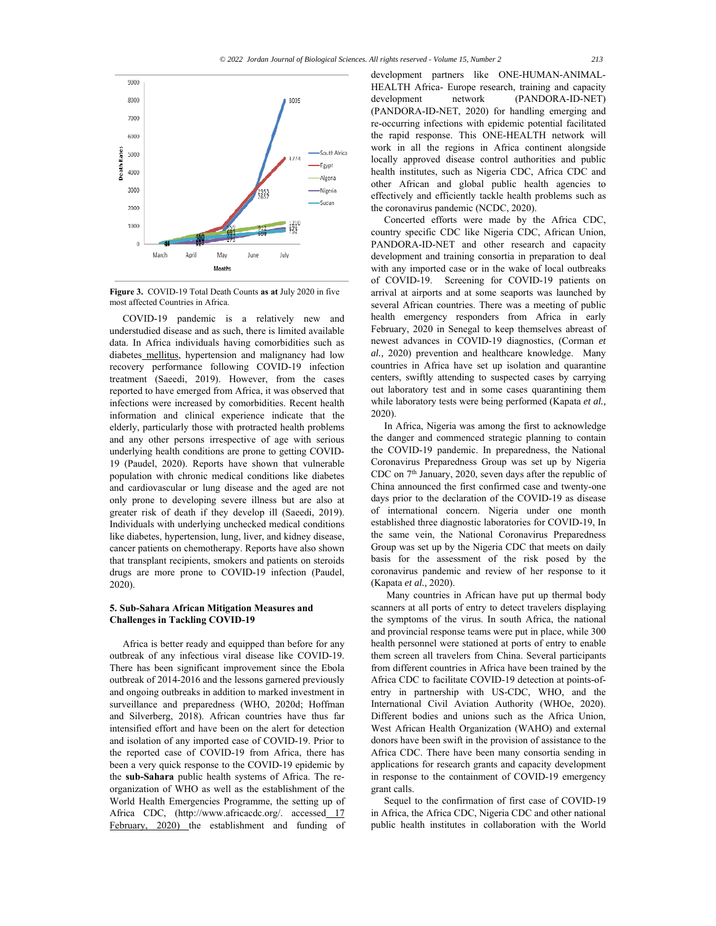

**Figure 3.** COVID-19 Total Death Counts **as at** July 2020 in five most affected Countries in Africa.

COVID-19 pandemic is a relatively new and understudied disease and as such, there is limited available data. In Africa individuals having comorbidities such as diabetes mellitus, hypertension and malignancy had low recovery performance following COVID-19 infection treatment (Saeedi, 2019). However, from the cases reported to have emerged from Africa, it was observed that infections were increased by comorbidities. Recent health information and clinical experience indicate that the elderly, particularly those with protracted health problems and any other persons irrespective of age with serious underlying health conditions are prone to getting COVID-19 (Paudel, 2020). Reports have shown that vulnerable population with chronic medical conditions like diabetes and cardiovascular or lung disease and the aged are not only prone to developing severe illness but are also at greater risk of death if they develop ill (Saeedi, 2019). Individuals with underlying unchecked medical conditions like diabetes, hypertension, lung, liver, and kidney disease, cancer patients on chemotherapy. Reports have also shown that transplant recipients, smokers and patients on steroids drugs are more prone to COVID-19 infection (Paudel, 2020).

## **5. Sub-Sahara African Mitigation Measures and Challenges in Tackling COVID-19**

Africa is better ready and equipped than before for any outbreak of any infectious viral disease like COVID-19. There has been significant improvement since the Ebola outbreak of 2014-2016 and the lessons garnered previously and ongoing outbreaks in addition to marked investment in surveillance and preparedness (WHO, 2020d; Hoffman and Silverberg, 2018). African countries have thus far intensified effort and have been on the alert for detection and isolation of any imported case of COVID-19. Prior to the reported case of COVID-19 from Africa, there has been a very quick response to the COVID-19 epidemic by the **sub-Sahara** public health systems of Africa. The reorganization of WHO as well as the establishment of the World Health Emergencies Programme, the setting up of Africa CDC, (http://www.africacdc.org/. accessed 17 February, 2020) the establishment and funding of development partners like ONE-HUMAN-ANIMAL-HEALTH Africa- Europe research, training and capacity development network (PANDORA-ID-NET) (PANDORA-ID-NET, 2020) for handling emerging and re-occurring infections with epidemic potential facilitated the rapid response. This ONE-HEALTH network will work in all the regions in Africa continent alongside locally approved disease control authorities and public health institutes, such as Nigeria CDC, Africa CDC and other African and global public health agencies to effectively and efficiently tackle health problems such as the coronavirus pandemic (NCDC, 2020).

Concerted efforts were made by the Africa CDC, country specific CDC like Nigeria CDC, African Union, PANDORA-ID-NET and other research and capacity development and training consortia in preparation to deal with any imported case or in the wake of local outbreaks of COVID-19. Screening for COVID-19 patients on arrival at airports and at some seaports was launched by several African countries. There was a meeting of public health emergency responders from Africa in early February, 2020 in Senegal to keep themselves abreast of newest advances in COVID-19 diagnostics, (Corman *et al.,* 2020) prevention and healthcare knowledge. Many countries in Africa have set up isolation and quarantine centers, swiftly attending to suspected cases by carrying out laboratory test and in some cases quarantining them while laboratory tests were being performed (Kapata *et al.,* 2020).

In Africa, Nigeria was among the first to acknowledge the danger and commenced strategic planning to contain the COVID-19 pandemic. In preparedness, the National Coronavirus Preparedness Group was set up by Nigeria CDC on  $7<sup>th</sup>$  January, 2020, seven days after the republic of China announced the first confirmed case and twenty-one days prior to the declaration of the COVID-19 as disease of international concern. Nigeria under one month established three diagnostic laboratories for COVID-19, In the same vein, the National Coronavirus Preparedness Group was set up by the Nigeria CDC that meets on daily basis for the assessment of the risk posed by the coronavirus pandemic and review of her response to it (Kapata *et al.,* 2020).

 Many countries in African have put up thermal body scanners at all ports of entry to detect travelers displaying the symptoms of the virus. In south Africa, the national and provincial response teams were put in place, while 300 health personnel were stationed at ports of entry to enable them screen all travelers from China. Several participants from different countries in Africa have been trained by the Africa CDC to facilitate COVID-19 detection at points-ofentry in partnership with US-CDC, WHO, and the International Civil Aviation Authority (WHOe, 2020). Different bodies and unions such as the Africa Union, West African Health Organization (WAHO) and external donors have been swift in the provision of assistance to the Africa CDC. There have been many consortia sending in applications for research grants and capacity development in response to the containment of COVID-19 emergency grant calls.

Sequel to the confirmation of first case of COVID-19 in Africa, the Africa CDC, Nigeria CDC and other national public health institutes in collaboration with the World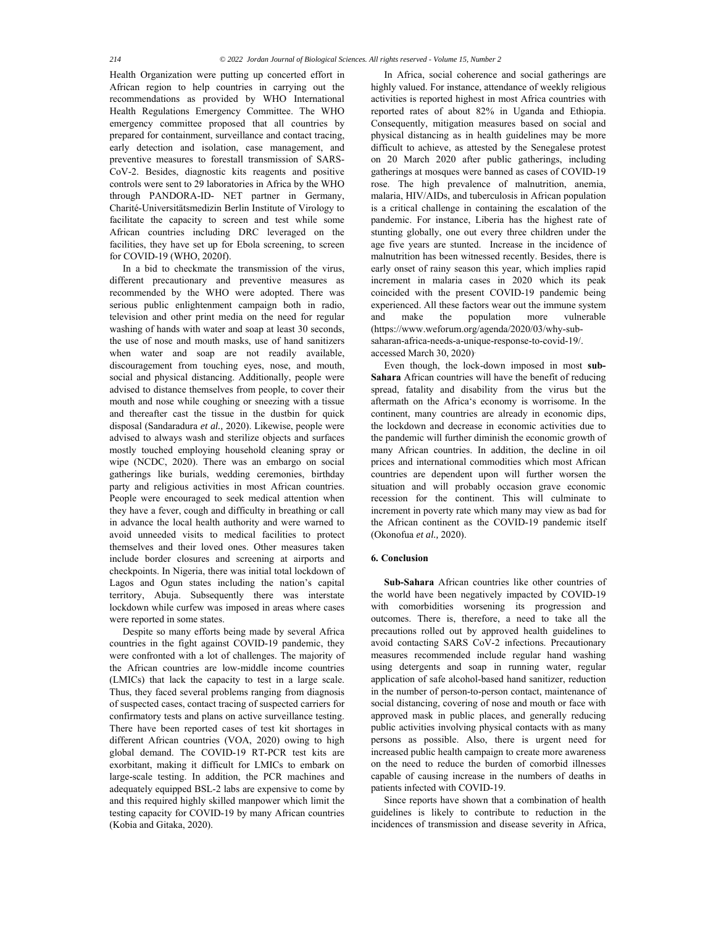Health Organization were putting up concerted effort in African region to help countries in carrying out the recommendations as provided by WHO International Health Regulations Emergency Committee. The WHO emergency committee proposed that all countries by prepared for containment, surveillance and contact tracing, early detection and isolation, case management, and preventive measures to forestall transmission of SARS-CoV-2. Besides, diagnostic kits reagents and positive controls were sent to 29 laboratories in Africa by the WHO through PANDORA-ID- NET partner in Germany, Charité-Universitätsmedizin Berlin Institute of Virology to facilitate the capacity to screen and test while some African countries including DRC leveraged on the facilities, they have set up for Ebola screening, to screen for COVID-19 (WHO, 2020f).

In a bid to checkmate the transmission of the virus, different precautionary and preventive measures as recommended by the WHO were adopted. There was serious public enlightenment campaign both in radio, television and other print media on the need for regular washing of hands with water and soap at least 30 seconds, the use of nose and mouth masks, use of hand sanitizers when water and soap are not readily available, discouragement from touching eyes, nose, and mouth, social and physical distancing. Additionally, people were advised to distance themselves from people, to cover their mouth and nose while coughing or sneezing with a tissue and thereafter cast the tissue in the dustbin for quick disposal (Sandaradura *et al.,* 2020). Likewise, people were advised to always wash and sterilize objects and surfaces mostly touched employing household cleaning spray or wipe (NCDC, 2020). There was an embargo on social gatherings like burials, wedding ceremonies, birthday party and religious activities in most African countries. People were encouraged to seek medical attention when they have a fever, cough and difficulty in breathing or call in advance the local health authority and were warned to avoid unneeded visits to medical facilities to protect themselves and their loved ones. Other measures taken include border closures and screening at airports and checkpoints. In Nigeria, there was initial total lockdown of Lagos and Ogun states including the nation's capital territory, Abuja. Subsequently there was interstate lockdown while curfew was imposed in areas where cases were reported in some states.

Despite so many efforts being made by several Africa countries in the fight against COVID-19 pandemic, they were confronted with a lot of challenges. The majority of the African countries are low-middle income countries (LMICs) that lack the capacity to test in a large scale. Thus, they faced several problems ranging from diagnosis of suspected cases, contact tracing of suspected carriers for confirmatory tests and plans on active surveillance testing. There have been reported cases of test kit shortages in different African countries (VOA, 2020) owing to high global demand. The COVID-19 RT-PCR test kits are exorbitant, making it difficult for LMICs to embark on large-scale testing. In addition, the PCR machines and adequately equipped BSL-2 labs are expensive to come by and this required highly skilled manpower which limit the testing capacity for COVID-19 by many African countries (Kobia and Gitaka, 2020).

In Africa, social coherence and social gatherings are highly valued. For instance, attendance of weekly religious activities is reported highest in most Africa countries with reported rates of about 82% in Uganda and Ethiopia. Consequently, mitigation measures based on social and physical distancing as in health guidelines may be more difficult to achieve, as attested by the Senegalese protest on 20 March 2020 after public gatherings, including gatherings at mosques were banned as cases of COVID-19 rose. The high prevalence of malnutrition, anemia, malaria, HIV/AIDs, and tuberculosis in African population is a critical challenge in containing the escalation of the pandemic. For instance, Liberia has the highest rate of stunting globally, one out every three children under the age five years are stunted. Increase in the incidence of malnutrition has been witnessed recently. Besides, there is early onset of rainy season this year, which implies rapid increment in malaria cases in 2020 which its peak coincided with the present COVID-19 pandemic being experienced. All these factors wear out the immune system and make the population more vulnerable (https://www.weforum.org/agenda/2020/03/why-subsaharan-africa-needs-a-unique-response-to-covid-19/. accessed March 30, 2020).

Even though, the lock-down imposed in most **sub-Sahara** African countries will have the benefit of reducing spread, fatality and disability from the virus but the aftermath on the Africa's economy is worrisome. In the continent, many countries are already in economic dips, the lockdown and decrease in economic activities due to the pandemic will further diminish the economic growth of many African countries. In addition, the decline in oil prices and international commodities which most African countries are dependent upon will further worsen the situation and will probably occasion grave economic recession for the continent. This will culminate to increment in poverty rate which many may view as bad for the African continent as the COVID-19 pandemic itself (Okonofua *et al.,* 2020).

## **6. Conclusion**

**Sub-Sahara** African countries like other countries of the world have been negatively impacted by COVID-19 with comorbidities worsening its progression and outcomes. There is, therefore, a need to take all the precautions rolled out by approved health guidelines to avoid contacting SARS CoV-2 infections. Precautionary measures recommended include regular hand washing using detergents and soap in running water, regular application of safe alcohol-based hand sanitizer, reduction in the number of person-to-person contact, maintenance of social distancing, covering of nose and mouth or face with approved mask in public places, and generally reducing public activities involving physical contacts with as many persons as possible. Also, there is urgent need for increased public health campaign to create more awareness on the need to reduce the burden of comorbid illnesses capable of causing increase in the numbers of deaths in patients infected with COVID-19.

Since reports have shown that a combination of health guidelines is likely to contribute to reduction in the incidences of transmission and disease severity in Africa,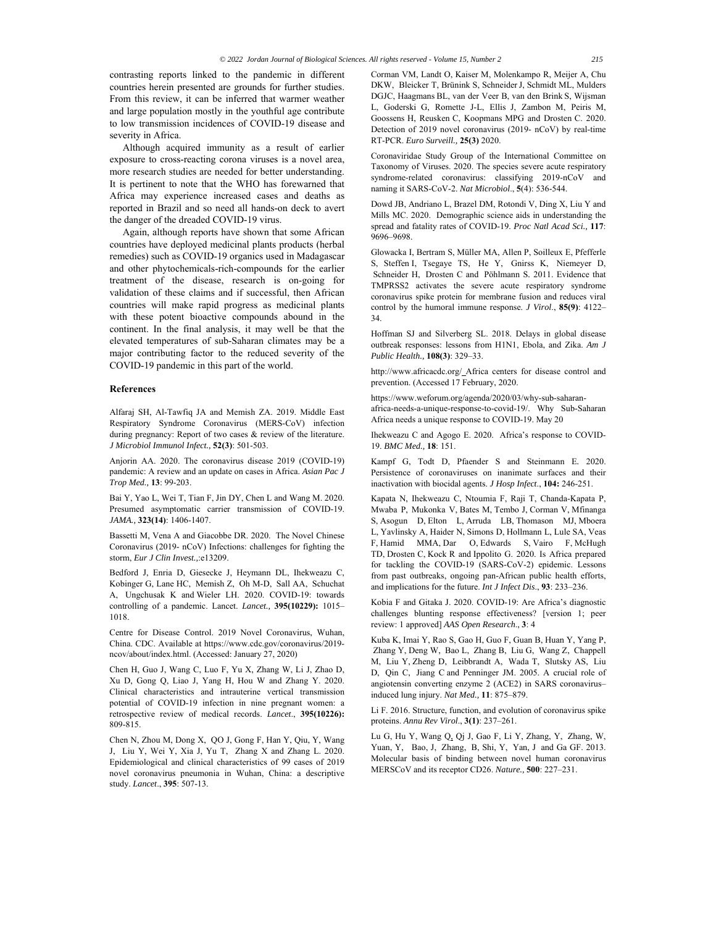contrasting reports linked to the pandemic in different countries herein presented are grounds for further studies. From this review, it can be inferred that warmer weather and large population mostly in the youthful age contribute to low transmission incidences of COVID-19 disease and severity in Africa.

Although acquired immunity as a result of earlier exposure to cross-reacting corona viruses is a novel area, more research studies are needed for better understanding. It is pertinent to note that the WHO has forewarned that Africa may experience increased cases and deaths as reported in Brazil and so need all hands-on deck to avert the danger of the dreaded COVID-19 virus.

Again, although reports have shown that some African countries have deployed medicinal plants products (herbal remedies) such as COVID-19 organics used in Madagascar and other phytochemicals-rich-compounds for the earlier treatment of the disease, research is on-going for validation of these claims and if successful, then African countries will make rapid progress as medicinal plants with these potent bioactive compounds abound in the continent. In the final analysis, it may well be that the elevated temperatures of sub-Saharan climates may be a major contributing factor to the reduced severity of the COVID-19 pandemic in this part of the world.

#### **References**

Alfaraj SH, Al-Tawfiq JA and Memish ZA. 2019. Middle East Respiratory Syndrome Coronavirus (MERS-CoV) infection during pregnancy: Report of two cases & review of the literature. *J Microbiol Immunol Infect.,* **52(3)**: 501-503.

Anjorin AA. 2020. The coronavirus disease 2019 (COVID-19) pandemic: A review and an update on cases in Africa. *Asian Pac J Trop Med.,* **13**: 99-203.

Bai Y, Yao L, Wei T, Tian F, Jin DY, Chen L and Wang M. 2020. Presumed asymptomatic carrier transmission of COVID-19. *JAMA.,* **323(14)**: 1406-1407.

Bassetti M, Vena A and Giacobbe DR. 2020. The Novel Chinese Coronavirus (2019- nCoV) Infections: challenges for fighting the storm, *Eur J Clin Invest.,*:e13209.

Bedford J, Enria D, Giesecke J, Heymann DL, Ihekweazu C, Kobinger G, Lane HC, Memish Z, Oh M-D, Sall AA, Schuchat A, Ungchusak K and Wieler LH. 2020. COVID-19: towards controlling of a pandemic. Lancet. *Lancet.,* **395(10229):** 1015– 1018.

Centre for Disease Control. 2019 Novel Coronavirus, Wuhan, China. CDC. Available at https://www.cdc.gov/coronavirus/2019 ncov/about/index.html. (Accessed: January 27, 2020)

Chen H, Guo J, Wang C, Luo F, Yu X, Zhang W, Li J, Zhao D, Xu D, Gong Q, Liao J, Yang H, Hou W and Zhang Y. 2020. Clinical characteristics and intrauterine vertical transmission potential of COVID-19 infection in nine pregnant women: a retrospective review of medical records. *Lancet*., **395(10226):** 809-815.

Chen N, Zhou M, Dong X, QO J, Gong F, Han Y, Qiu, Y, Wang J, Liu Y, Wei Y, Xia J, Yu T, Zhang X and Zhang L. 2020. Epidemiological and clinical characteristics of 99 cases of 2019 novel coronavirus pneumonia in Wuhan, China: a descriptive study. *Lancet*., **395**: 507-13.

Corman VM, Landt O, Kaiser M, Molenkampo R, Meijer A, Chu DKW, Bleicker T, Brünink S, Schneider J, Schmidt ML, Mulders DGJC, Haagmans BL, van der Veer B, van den Brink S, Wijsman L, Goderski G, Romette J-L, Ellis J, Zambon M, Peiris M, Goossens H, Reusken C, Koopmans MPG and Drosten C. 2020. Detection of 2019 novel coronavirus (2019- nCoV) by real-time RT-PCR. *Euro Surveill.,* **25(3)** 2020.

Coronaviridae Study Group of the International Committee on Taxonomy of Viruses. 2020. The species severe acute respiratory syndrome-related coronavirus: classifying 2019-nCoV and naming it SARS-CoV-2. *Nat Microbiol*., **5**(4): 536-544.

Dowd JB, Andriano L, Brazel DM, Rotondi V, Ding X, Liu Y and Mills MC. 2020. Demographic science aids in understanding the spread and fatality rates of COVID-19. *Proc Natl Acad Sci.,* **117**: 9696–9698.

Glowacka I, Bertram S, Müller MA, Allen P, Soilleux E, Pfefferle S, Steffen I, Tsegaye TS, He Y, Gnirss K, Niemeyer D, Schneider H, Drosten C and Pöhlmann S*.* 2011. Evidence that TMPRSS2 activates the severe acute respiratory syndrome coronavirus spike protein for membrane fusion and reduces viral control by the humoral immune response. *J Virol*., **85(9)**: 4122– 34.

Hoffman SJ and Silverberg SL. 2018. Delays in global disease outbreak responses: lessons from H1N1, Ebola, and Zika. *Am J Public Health.,* **108(3)**: 329–33.

http://www.africacdc.org/ Africa centers for disease control and prevention. (Accessed 17 February, 2020.

https://www.weforum.org/agenda/2020/03/why-sub-saharanafrica-needs-a-unique-response-to-covid-19/. Why Sub-Saharan Africa needs a unique response to COVID-19. May 20

Ihekweazu C and Agogo E. 2020. Africa's response to COVID-19. *BMC Med.,* **18**: 151.

Kampf G, Todt D, Pfaender S and Steinmann E*.* 2020. Persistence of coronaviruses on inanimate surfaces and their inactivation with biocidal agents. *J Hosp Infect*., **104:** 246-251.

Kapata N, Ihekweazu C, Ntoumia F, Raji T, Chanda-Kapata P, Mwaba P, Mukonka V, Bates M, Tembo J, Corman V, Mfinanga S, Asogun D, Elton L, Arruda LB, Thomason MJ, Mboera L, Yavlinsky A, Haider N, Simons D, Hollmann L, Lule SA, Veas F, Hamid MMA, Dar O, Edwards S, Vairo F, McHugh TD, Drosten C, Kock R and Ippolito G. 2020. Is Africa prepared for tackling the COVID-19 (SARS-CoV-2) epidemic. Lessons from past outbreaks, ongoing pan-African public health efforts, and implications for the future. *Int J Infect Dis*., **93**: 233–236.

Kobia F and Gitaka J. 2020. COVID-19: Are Africa's diagnostic challenges blunting response effectiveness? [version 1; peer review: 1 approved] *AAS Open Research*., **3**: 4

Kuba K, Imai Y, Rao S, Gao H, Guo F, Guan B, Huan Y, Yang P, Zhang Y, Deng W, Bao L, Zhang B, Liu G, Wang Z, Chappell M, Liu Y, Zheng D, Leibbrandt A, Wada T, Slutsky AS, Liu D, Qin C, Jiang C and Penninger JM. 2005. A crucial role of angiotensin converting enzyme 2 (ACE2) in SARS coronavirus– induced lung injury. *Nat Med.,* **11**: 875–879.

Li F. 2016. Structure, function, and evolution of coronavirus spike proteins. *Annu Rev Virol*., **3(1)**: 237–261.

Lu G, Hu Y, Wang Q, Qj J, Gao F, Li Y, Zhang, Y, Zhang, W, Yuan, Y, Bao, J, Zhang, B, Shi, Y, Yan, J and Ga GF. 2013. Molecular basis of binding between novel human coronavirus MERSCoV and its receptor CD26. *Nature.,* **500**: 227–231.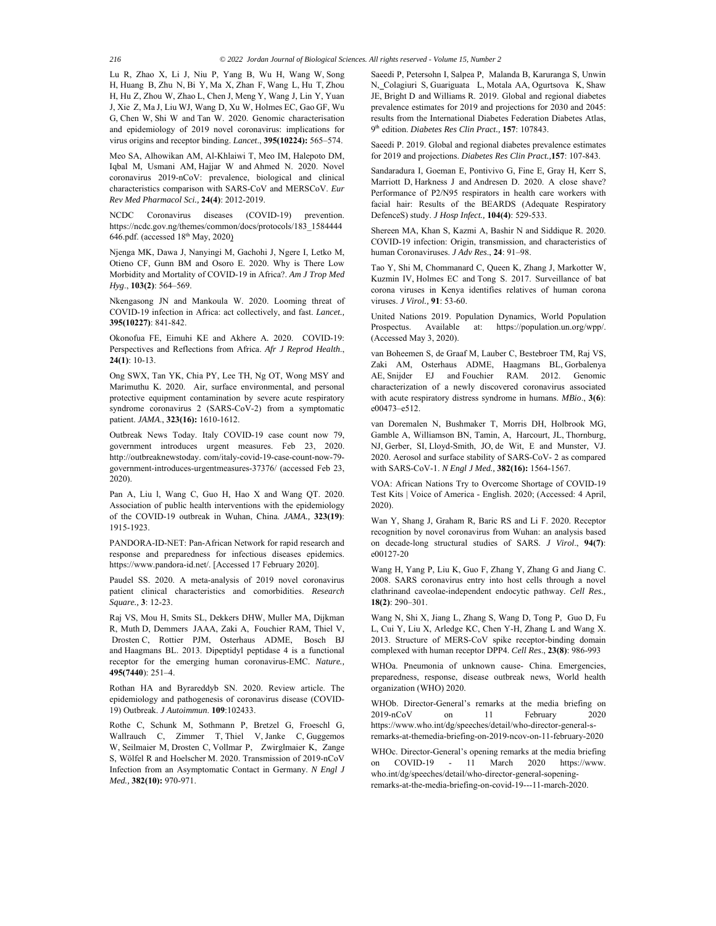Lu R, Zhao X, Li J, Niu P, Yang B, Wu H, Wang W, Song H, Huang B, Zhu N, Bi Y, Ma X, Zhan F, Wang L, Hu T, Zhou H, Hu Z, Zhou W, Zhao L, Chen J, Meng Y, Wang J, Lin Y, Yuan J, Xie Z, Ma J, Liu WJ, Wang D, Xu W, Holmes EC, Gao GF, Wu G, Chen W, Shi W and Tan W. 2020. Genomic characterisation and epidemiology of 2019 novel coronavirus: implications for virus origins and receptor binding. *Lancet*., **395(10224):** 565–574.

Meo SA, Alhowikan AM, Al-Khlaiwi T, Meo IM, Halepoto DM, Iqbal M, Usmani AM, Hajjar W and Ahmed N. 2020. Novel coronavirus 2019-nCoV: prevalence, biological and clinical characteristics comparison with SARS-CoV and MERSCoV. *Eur Rev Med Pharmacol Sci.,* **24(4)**: 2012-2019.

NCDC Coronavirus diseases (COVID-19) prevention. https://ncdc.gov.ng/themes/common/docs/protocols/183\_1584444 646.pdf. (accessed  $18<sup>th</sup>$  May, 2020)

Njenga MK, Dawa J, Nanyingi M, Gachohi J, Ngere I, Letko M, Otieno CF, Gunn BM and Osoro E. 2020. Why is There Low Morbidity and Mortality of COVID-19 in Africa?. *Am J Trop Med Hyg*., **103(2)**: 564–569.

Nkengasong JN and Mankoula W. 2020. Looming threat of COVID-19 infection in Africa: act collectively, and fast. *Lancet.,* **395(10227)**: 841-842.

Okonofua FE, Eimuhi KE and Akhere A*.* 2020. COVID-19: Perspectives and Reflections from Africa. *Afr J Reprod Health*., **24(1)**: 10-13.

Ong SWX, Tan YK, Chia PY, Lee TH, Ng OT, Wong MSY and Marimuthu K*.* 2020. Air, surface environmental, and personal protective equipment contamination by severe acute respiratory syndrome coronavirus 2 (SARS-CoV-2) from a symptomatic patient. *JAMA*., **323(16):** 1610-1612.

Outbreak News Today. Italy COVID-19 case count now 79, government introduces urgent measures. Feb 23, 2020. http://outbreaknewstoday. com/italy-covid-19-case-count-now-79 government-introduces-urgentmeasures-37376/ (accessed Feb 23, 2020).

Pan A, Liu l, Wang C, Guo H, Hao X and Wang QT. 2020. Association of public health interventions with the epidemiology of the COVID-19 outbreak in Wuhan, China. *JAMA.,* **323(19)**: 1915-1923.

PANDORA-ID-NET: Pan-African Network for rapid research and response and preparedness for infectious diseases epidemics. https://www.pandora-id.net/. [Accessed 17 February 2020].

Paudel SS. 2020. A meta-analysis of 2019 novel coronavirus patient clinical characteristics and comorbidities. *Research Square.,* **3**: 12-23.

Raj VS, Mou H, Smits SL, Dekkers DHW, Muller MA, Dijkman R, Muth D, Demmers JAAA, Zaki A, Fouchier RAM, Thiel V, Drosten C, Rottier PJM, Osterhaus ADME, Bosch BJ and Haagmans BL. 2013. Dipeptidyl peptidase 4 is a functional receptor for the emerging human coronavirus-EMC. *Nature.,* **495(7440**): 251–4.

Rothan HA and Byrareddyb SN. 2020. Review article. The epidemiology and pathogenesis of coronavirus disease (COVID-19) Outbreak. *J Autoimmun*. **109**:102433.

Rothe C, Schunk M, Sothmann P, Bretzel G, Froeschl G, Wallrauch C, Zimmer T, Thiel V, Janke C, Guggemos W, Seilmaier M, Drosten C, Vollmar P, Zwirglmaier K, Zange S, Wölfel R and Hoelscher M. 2020. Transmission of 2019-nCoV Infection from an Asymptomatic Contact in Germany. *N Engl J Med.,* **382(10):** 970-971.

Saeedi P, Petersohn I, Salpea P, Malanda B, Karuranga S, Unwin N, Colagiuri S, Guariguata L, Motala AA, Ogurtsova K, Shaw JE, Bright D and Williams R. 2019. Global and regional diabetes prevalence estimates for 2019 and projections for 2030 and 2045: results from the International Diabetes Federation Diabetes Atlas, 9th edition. *Diabetes Res Clin Pract.,* **157**: 107843.

Saeedi P. 2019. Global and regional diabetes prevalence estimates for 2019 and projections. *Diabetes Res Clin Pract.,***157**: 107-843.

Sandaradura I, Goeman E, Pontivivo G, Fine E, Gray H, Kerr S, Marriott D, Harkness J and Andresen D. 2020. A close shave? Performance of P2/N95 respirators in health care workers with facial hair: Results of the BEARDS (Adequate Respiratory DefenceS) study. *J Hosp Infect.,* **104(4)**: 529-533.

Shereen MA, Khan S, Kazmi A, Bashir N and Siddique R. 2020. COVID-19 infection: Origin, transmission, and characteristics of human Coronaviruses. *J Adv Res*., **24**: 91–98.

Tao Y, Shi M, Chommanard C, Queen K, Zhang J, Markotter W, Kuzmin IV, Holmes EC and Tong S. 2017. Surveillance of bat corona viruses in Kenya identifies relatives of human corona viruses. *J Virol.,* **91**: 53-60.

United Nations 2019. Population Dynamics, World Population Prospectus. Available at: https://population.un.org/wpp/. (Accessed May 3, 2020).

van Boheemen S, de Graaf M, Lauber C, Bestebroer TM, Raj VS, Zaki AM, Osterhaus ADME, Haagmans BL, Gorbalenya AE, Snijder EJ and Fouchier RAM. 2012. Genomic characterization of a newly discovered coronavirus associated with acute respiratory distress syndrome in humans. *MBio*., **3(6**): e00473–e512.

van Doremalen N, Bushmaker T, Morris DH, Holbrook MG, Gamble A, Williamson BN, Tamin, A, Harcourt, JL, Thornburg, NJ, Gerber, SI, Lloyd-Smith, JO, de Wit, E and Munster, VJ. 2020. Aerosol and surface stability of SARS-CoV- 2 as compared with SARS-CoV-1. *N Engl J Med.,* **382(16):** 1564-1567.

VOA: African Nations Try to Overcome Shortage of COVID-19 Test Kits | Voice of America - English. 2020; (Accessed: 4 April, 2020).

Wan Y, Shang J, Graham R, Baric RS and Li F. 2020. Receptor recognition by novel coronavirus from Wuhan: an analysis based on decade-long structural studies of SARS. *J Virol*., **94(7)**: e00127-20

Wang H, Yang P, Liu K, Guo F, Zhang Y, Zhang G and Jiang C. 2008. SARS coronavirus entry into host cells through a novel clathrinand caveolae-independent endocytic pathway. *Cell Res.,* **18(2)**: 290–301.

Wang N, Shi X, Jiang L, Zhang S, Wang D, Tong P, Guo D, Fu L, Cui Y, Liu X, Arledge KC, Chen Y-H, Zhang L and Wang X. 2013. Structure of MERS-CoV spike receptor-binding domain complexed with human receptor DPP4. *Cell Res*., **23(8)**: 986-993

WHOa. Pneumonia of unknown cause- China. Emergencies, preparedness, response, disease outbreak news, World health organization (WHO) 2020.

WHOb. Director-General's remarks at the media briefing on 2019-nCoV on 11 February 2020 https://www.who.int/dg/speeches/detail/who-director-general-sremarks-at-themedia-briefing-on-2019-ncov-on-11-february-2020

WHOc. Director-General's opening remarks at the media briefing on COVID-19 - 11 March 2020 https://www. who.int/dg/speeches/detail/who-director-general-sopeningremarks-at-the-media-briefing-on-covid-19---11-march-2020.